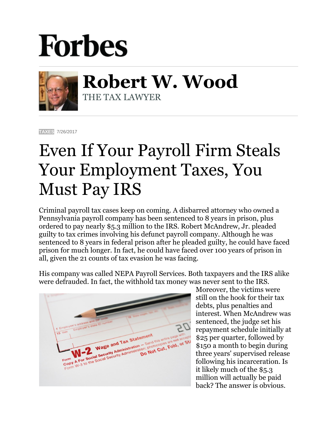## **Forbes**



**Robert W. Wood** THE TAX LAWYER

**[TAXES](https://www.forbes.com/taxes)** 7/26/2017

## Even If Your Payroll Firm Steals Your Employment Taxes, You Must Pay IRS

Criminal payroll tax cases keep on coming. A disbarred attorney who owned a Pennsylvania payroll company has been sentenced to 8 years in prison, plus ordered to pay nearly \$5.3 million to the IRS. Robert McAndrew, Jr. pleaded guilty to tax crimes involving his defunct payroll company. Although he was sentenced to 8 years in federal prison after he pleaded guilty, he could have faced prison for much longer. In fact, he could have faced over 100 years of prison in all, given the 21 counts of tax evasion he was facing.

His company was called NEPA Payroll Services. Both taxpayers and the IRS alike were defrauded. In fact, the withhold tax money was never sent to the IRS.

Wage and Tax Statement Do Not Cut, Fold, or Strategy We and Tax State Send the Send the send the senate of the security Administration: photocopies<br>A For Social Security Administration: photocopies<br>A For Social Security Administration: p Not Cut. Form<br>COPY A For Social Se

Moreover, the victims were still on the hook for their tax debts, plus penalties and interest. When McAndrew was sentenced, the judge set his repayment schedule initially at \$25 per quarter, followed by \$150 a month to begin during three years' supervised release following his incarceration. Is it likely much of the \$5.3 million will actually be paid back? The answer is obvious.